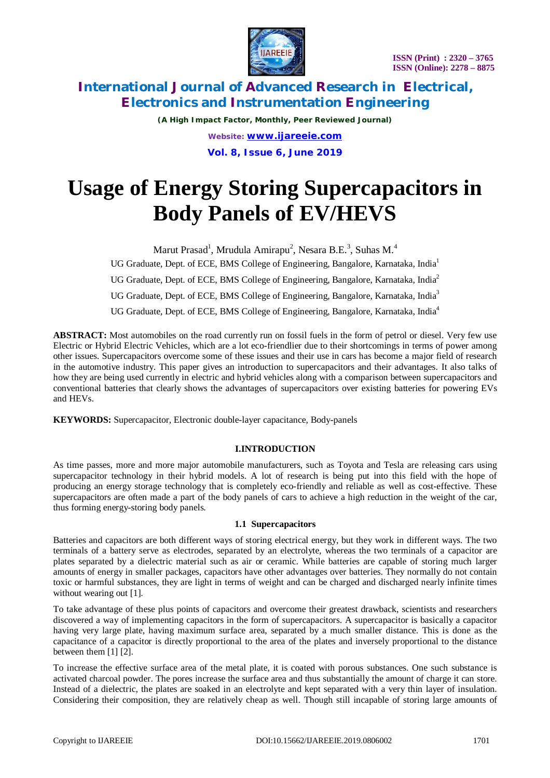

*(A High Impact Factor, Monthly, Peer Reviewed Journal) Website: [www.ijareeie.com](http://www.ijareeie.com)* **Vol. 8, Issue 6, June 2019**

# **Usage of Energy Storing Supercapacitors in Body Panels of EV/HEVS**

Marut Prasad<sup>1</sup>, Mrudula Amirapu<sup>2</sup>, Nesara B.E.<sup>3</sup>, Suhas M.<sup>4</sup>

UG Graduate, Dept. of ECE, BMS College of Engineering, Bangalore, Karnataka, India<sup>1</sup>

UG Graduate, Dept. of ECE, BMS College of Engineering, Bangalore, Karnataka, India<sup>2</sup>

UG Graduate, Dept. of ECE, BMS College of Engineering, Bangalore, Karnataka, India<sup>3</sup>

UG Graduate, Dept. of ECE, BMS College of Engineering, Bangalore, Karnataka, India<sup>4</sup>

ABSTRACT: Most automobiles on the road currently run on fossil fuels in the form of petrol or diesel. Very few use Electric or Hybrid Electric Vehicles, which are a lot eco-friendlier due to their shortcomings in terms of power among other issues. Supercapacitors overcome some of these issues and their use in cars has become a major field of research in the automotive industry. This paper gives an introduction to supercapacitors and their advantages. It also talks of how they are being used currently in electric and hybrid vehicles along with a comparison between supercapacitors and conventional batteries that clearly shows the advantages of supercapacitors over existing batteries for powering EVs and HEVs.

**KEYWORDS:** Supercapacitor, Electronic double-layer capacitance, Body-panels

### **I.INTRODUCTION**

As time passes, more and more major automobile manufacturers, such as Toyota and Tesla are releasing cars using supercapacitor technology in their hybrid models. A lot of research is being put into this field with the hope of producing an energy storage technology that is completely eco-friendly and reliable as well as cost-effective. These supercapacitors are often made a part of the body panels of cars to achieve a high reduction in the weight of the car, thus forming energy-storing body panels.

#### **1.1 Supercapacitors**

Batteries and capacitors are both different ways of storing electrical energy, but they work in different ways. The two terminals of a battery serve as electrodes, separated by an electrolyte, whereas the two terminals of a capacitor are plates separated by a dielectric material such as air or ceramic. While batteries are capable of storing much larger amounts of energy in smaller packages, capacitors have other advantages over batteries. They normally do not contain toxic or harmful substances, they are light in terms of weight and can be charged and discharged nearly infinite times without wearing out [1].

To take advantage of these plus points of capacitors and overcome their greatest drawback, scientists and researchers discovered a way of implementing capacitors in the form of supercapacitors. A supercapacitor is basically a capacitor having very large plate, having maximum surface area, separated by a much smaller distance. This is done as the capacitance of a capacitor is directly proportional to the area of the plates and inversely proportional to the distance between them [1] [2].

To increase the effective surface area of the metal plate, it is coated with porous substances. One such substance is activated charcoal powder. The pores increase the surface area and thus substantially the amount of charge it can store. Instead of a dielectric, the plates are soaked in an electrolyte and kept separated with a very thin layer of insulation. Considering their composition, they are relatively cheap as well. Though still incapable of storing large amounts of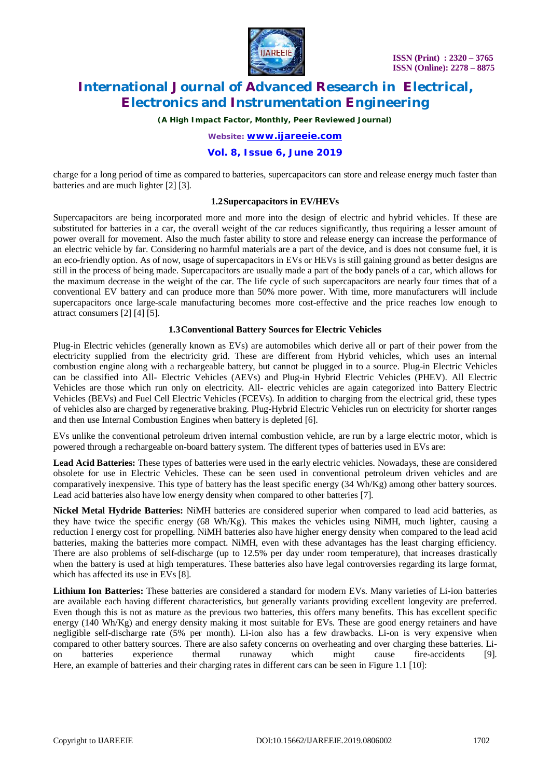

*(A High Impact Factor, Monthly, Peer Reviewed Journal)*

*Website: [www.ijareeie.com](http://www.ijareeie.com)*

#### **Vol. 8, Issue 6, June 2019**

charge for a long period of time as compared to batteries, supercapacitors can store and release energy much faster than batteries and are much lighter [2] [3].

#### **1.2Supercapacitors in EV/HEVs**

Supercapacitors are being incorporated more and more into the design of electric and hybrid vehicles. If these are substituted for batteries in a car, the overall weight of the car reduces significantly, thus requiring a lesser amount of power overall for movement. Also the much faster ability to store and release energy can increase the performance of an electric vehicle by far. Considering no harmful materials are a part of the device, and is does not consume fuel, it is an eco-friendly option. As of now, usage of supercapacitors in EVs or HEVs is still gaining ground as better designs are still in the process of being made. Supercapacitors are usually made a part of the body panels of a car, which allows for the maximum decrease in the weight of the car. The life cycle of such supercapacitors are nearly four times that of a conventional EV battery and can produce more than 50% more power. With time, more manufacturers will include supercapacitors once large-scale manufacturing becomes more cost-effective and the price reaches low enough to attract consumers [2] [4] [5].

#### **1.3Conventional Battery Sources for Electric Vehicles**

Plug-in Electric vehicles (generally known as EVs) are automobiles which derive all or part of their power from the electricity supplied from the electricity grid. These are different from Hybrid vehicles, which uses an internal combustion engine along with a rechargeable battery, but cannot be plugged in to a source. Plug-in Electric Vehicles can be classified into All- Electric Vehicles (AEVs) and Plug-in Hybrid Electric Vehicles (PHEV). All Electric Vehicles are those which run only on electricity. All- electric vehicles are again categorized into Battery Electric Vehicles (BEVs) and Fuel Cell Electric Vehicles (FCEVs). In addition to charging from the electrical grid, these types of vehicles also are charged by regenerative braking. Plug-Hybrid Electric Vehicles run on electricity for shorter ranges and then use Internal Combustion Engines when battery is depleted [6].

EVs unlike the conventional petroleum driven internal combustion vehicle, are run by a large electric motor, which is powered through a rechargeable on-board battery system. The different types of batteries used in EVs are:

**Lead Acid Batteries:** These types of batteries were used in the early electric vehicles. Nowadays, these are considered obsolete for use in Electric Vehicles. These can be seen used in conventional petroleum driven vehicles and are comparatively inexpensive. This type of battery has the least specific energy (34 Wh/Kg) among other battery sources. Lead acid batteries also have low energy density when compared to other batteries [7].

**Nickel Metal Hydride Batteries:** NiMH batteries are considered superior when compared to lead acid batteries, as they have twice the specific energy (68 Wh/Kg). This makes the vehicles using NiMH, much lighter, causing a reduction I energy cost for propelling. NiMH batteries also have higher energy density when compared to the lead acid batteries, making the batteries more compact. NiMH, even with these advantages has the least charging efficiency. There are also problems of self-discharge (up to 12.5% per day under room temperature), that increases drastically when the battery is used at high temperatures. These batteries also have legal controversies regarding its large format, which has affected its use in EVs [8].

**Lithium Ion Batteries:** These batteries are considered a standard for modern EVs. Many varieties of Li-ion batteries are available each having different characteristics, but generally variants providing excellent longevity are preferred. Even though this is not as mature as the previous two batteries, this offers many benefits. This has excellent specific energy (140 Wh/Kg) and energy density making it most suitable for EVs. These are good energy retainers and have negligible self-discharge rate (5% per month). Li-ion also has a few drawbacks. Li-on is very expensive when compared to other battery sources. There are also safety concerns on overheating and over charging these batteries. Li-<br>on batteries experience thermal runaway which might cause fire-accidents [9]. on batteries experience thermal runaway which might cause fire-accidents [9]. Here, an example of batteries and their charging rates in different cars can be seen in Figure 1.1 [10]: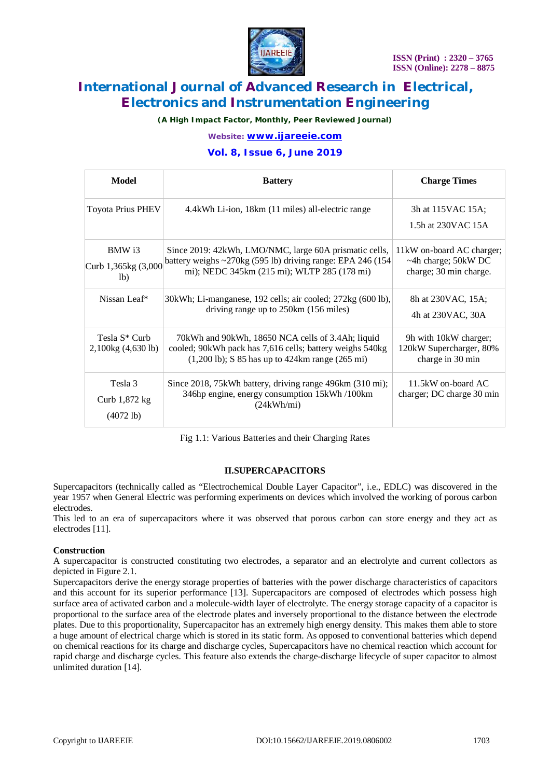

*(A High Impact Factor, Monthly, Peer Reviewed Journal)*

*Website: [www.ijareeie.com](http://www.ijareeie.com)*

### **Vol. 8, Issue 6, June 2019**

| Model                                           | <b>Battery</b>                                                                                                                                                                          | <b>Charge Times</b>                                                               |  |
|-------------------------------------------------|-----------------------------------------------------------------------------------------------------------------------------------------------------------------------------------------|-----------------------------------------------------------------------------------|--|
| <b>Toyota Prius PHEV</b>                        | 4.4 kWh Li-ion, 18 km (11 miles) all-electric range                                                                                                                                     | 3h at 115VAC 15A;<br>1.5h at 230 VAC 15A                                          |  |
| BMW i3<br>Curb 1,365kg (3,000<br>1 <sub>b</sub> | Since 2019: 42kWh, LMO/NMC, large 60A prismatic cells,<br>battery weighs $\sim$ 270kg (595 lb) driving range: EPA 246 (154<br>mi); NEDC 345km (215 mi); WLTP 285 (178 mi)               | 11kW on-board AC charger;<br>$~\sim$ 4h charge; 50kW DC<br>charge; 30 min charge. |  |
| Nissan Leaf*                                    | 30kWh; Li-manganese, 192 cells; air cooled; 272kg (600 lb),<br>driving range up to 250km (156 miles)                                                                                    | 8h at 230VAC, 15A;<br>4h at 230VAC, 30A                                           |  |
| Tesla S <sup>*</sup> Curb<br>2,100kg (4,630 lb) | 70 kWh and 90 kWh, 18650 NCA cells of 3.4Ah; liquid<br>cooled; 90kWh pack has 7,616 cells; battery weighs 540kg<br>$(1,200 \text{ lb})$ ; S 85 has up to 424km range $(265 \text{ mi})$ | 9h with 10kW charger;<br>120kW Supercharger, 80%<br>charge in 30 min              |  |
| Tesla 3<br>Curb 1,872 kg<br>$(4072 \text{ lb})$ | Since 2018, 75kWh battery, driving range 496km (310 mi);<br>346hp engine, energy consumption 15kWh /100km<br>(24kWh/ml)                                                                 | 11.5kW on-board AC<br>charger; DC charge 30 min                                   |  |

Fig 1.1: Various Batteries and their Charging Rates

#### **II.SUPERCAPACITORS**

Supercapacitors (technically called as "Electrochemical Double Layer Capacitor", i.e., EDLC) was discovered in the year 1957 when General Electric was performing experiments on devices which involved the working of porous carbon electrodes.

This led to an era of supercapacitors where it was observed that porous carbon can store energy and they act as electrodes [11].

#### **Construction**

A supercapacitor is constructed constituting two electrodes, a separator and an electrolyte and current collectors as depicted in Figure 2.1.

Supercapacitors derive the energy storage properties of batteries with the power discharge characteristics of capacitors and this account for its superior performance [13]. Supercapacitors are composed of electrodes which possess high surface area of activated carbon and a molecule-width layer of electrolyte. The energy storage capacity of a capacitor is proportional to the surface area of the electrode plates and inversely proportional to the distance between the electrode plates. Due to this proportionality, Supercapacitor has an extremely high energy density. This makes them able to store a huge amount of electrical charge which is stored in its static form. As opposed to conventional batteries which depend on chemical reactions for its charge and discharge cycles, Supercapacitors have no chemical reaction which account for rapid charge and discharge cycles. This feature also extends the charge-discharge lifecycle of super capacitor to almost unlimited duration [14].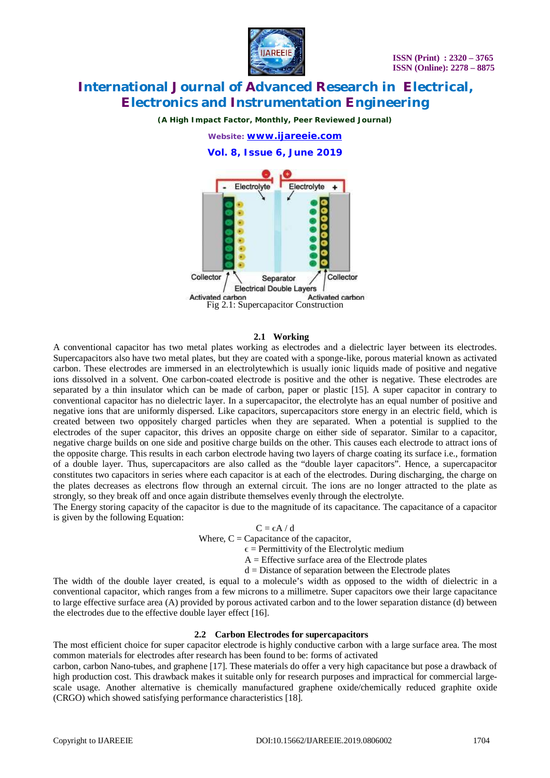

*(A High Impact Factor, Monthly, Peer Reviewed Journal)*



**Vol. 8, Issue 6, June 2019**



#### **2.1 Working**

A conventional capacitor has two metal plates working as electrodes and a dielectric layer between its electrodes. Supercapacitors also have two metal plates, but they are coated with a sponge-like, porous material known as activated carbon. These electrodes are immersed in an electrolytewhich is usually ionic liquids made of positive and negative ions dissolved in a solvent. One carbon-coated electrode is positive and the other is negative. These electrodes are separated by a thin insulator which can be made of carbon, paper or plastic [15]. A super capacitor in contrary to conventional capacitor has no dielectric layer. In a supercapacitor, the electrolyte has an equal number of positive and negative ions that are uniformly dispersed. Like capacitors, supercapacitors store energy in an electric field, which is created between two oppositely charged particles when they are separated. When a potential is supplied to the electrodes of the super capacitor, this drives an opposite charge on either side of separator. Similar to a capacitor, negative charge builds on one side and positive charge builds on the other. This causes each electrode to attract ions of the opposite charge. This results in each carbon electrode having two layers of charge coating its surface i.e., formation of a double layer. Thus, supercapacitors are also called as the "double layer capacitors". Hence, a supercapacitor constitutes two capacitors in series where each capacitor is at each of the electrodes. During discharging, the charge on the plates decreases as electrons flow through an external circuit. The ions are no longer attracted to the plate as strongly, so they break off and once again distribute themselves evenly through the electrolyte.

The Energy storing capacity of the capacitor is due to the magnitude of its capacitance. The capacitance of a capacitor is given by the following Equation:

> $C = \epsilon A / d$ Where,  $C =$  Capacitance of the capacitor,

> > $\epsilon$  = Permittivity of the Electrolytic medium

 $A =$  Effective surface area of the Electrode plates

 $d = Distance of separation between the Electrode plates$ 

The width of the double layer created, is equal to a molecule's width as opposed to the width of dielectric in a conventional capacitor, which ranges from a few microns to a millimetre. Super capacitors owe their large capacitance to large effective surface area (A) provided by porous activated carbon and to the lower separation distance (d) between the electrodes due to the effective double layer effect [16].

#### **2.2 Carbon Electrodes for supercapacitors**

The most efficient choice for super capacitor electrode is highly conductive carbon with a large surface area. The most common materials for electrodes after research has been found to be: forms of activated

carbon, carbon Nano-tubes, and graphene [17]. These materials do offer a very high capacitance but pose a drawback of high production cost. This drawback makes it suitable only for research purposes and impractical for commercial largescale usage. Another alternative is chemically manufactured graphene oxide/chemically reduced graphite oxide (CRGO) which showed satisfying performance characteristics [18].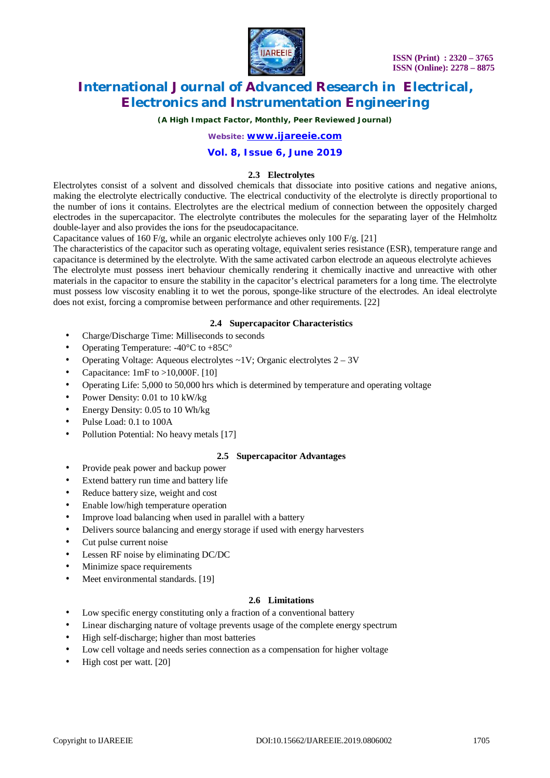

*(A High Impact Factor, Monthly, Peer Reviewed Journal)*

*Website: [www.ijareeie.com](http://www.ijareeie.com)*

### **Vol. 8, Issue 6, June 2019**

#### **2.3 Electrolytes**

Electrolytes consist of a solvent and dissolved chemicals that dissociate into positive cations and negative anions, making the electrolyte electrically conductive. The electrical conductivity of the electrolyte is directly proportional to the number of ions it contains. Electrolytes are the electrical medium of connection between the oppositely charged electrodes in the supercapacitor. The electrolyte contributes the molecules for the separating layer of the Helmholtz double-layer and also provides the ions for the pseudocapacitance.

Capacitance values of 160 F/g, while an organic electrolyte achieves only 100 F/g. [21]

The characteristics of the capacitor such as operating voltage, equivalent series resistance (ESR), temperature range and capacitance is determined by the electrolyte. With the same activated carbon electrode an aqueous electrolyte achieves The electrolyte must possess inert behaviour chemically rendering it chemically inactive and unreactive with other materials in the capacitor to ensure the stability in the capacitor's electrical parameters for a long time. The electrolyte must possess low viscosity enabling it to wet the porous, sponge-like structure of the electrodes. An ideal electrolyte does not exist, forcing a compromise between performance and other requirements. [22]

#### **2.4 Supercapacitor Characteristics**

- Charge/Discharge Time: Milliseconds to seconds
- Operating Temperature: -40°C to +85C°
- Operating Voltage: Aqueous electrolytes ~1V; Organic electrolytes 2 3V
- Capacitance:  $1mF$  to  $>10,000F$ . [10]
- Operating Life: 5,000 to 50,000 hrs which is determined by temperature and operating voltage
- Power Density: 0.01 to 10 kW/kg
- Energy Density: 0.05 to 10 Wh/kg
- Pulse Load: 0.1 to 100A
- Pollution Potential: No heavy metals [17]

#### **2.5 Supercapacitor Advantages**

- Provide peak power and backup power
- Extend battery run time and battery life
- Reduce battery size, weight and cost
- Enable low/high temperature operation
- Improve load balancing when used in parallel with a battery
- Delivers source balancing and energy storage if used with energy harvesters
- Cut pulse current noise
- Lessen RF noise by eliminating DC/DC
- Minimize space requirements
- Meet environmental standards. [19]

### **2.6 Limitations**

- Low specific energy constituting only a fraction of a conventional battery
- Linear discharging nature of voltage prevents usage of the complete energy spectrum
- High self-discharge; higher than most batteries
- Low cell voltage and needs series connection as a compensation for higher voltage
- High cost per watt. [20]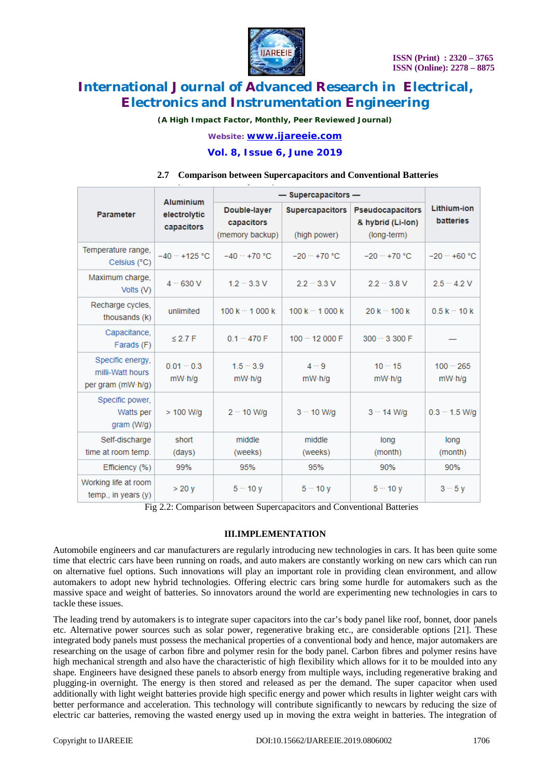

*(A High Impact Factor, Monthly, Peer Reviewed Journal)*

*Website: [www.ijareeie.com](http://www.ijareeie.com)*

#### **Vol. 8, Issue 6, June 2019**

#### **2.7 Comparison between Supercapacitors and Conventional Batteries**

|                                                           | <b>Aluminium</b><br>electrolytic<br>capacitors | - Supercapacitors -                           |                                        |                                                             |                                        |
|-----------------------------------------------------------|------------------------------------------------|-----------------------------------------------|----------------------------------------|-------------------------------------------------------------|----------------------------------------|
| Parameter                                                 |                                                | Double-layer<br>capacitors<br>(memory backup) | <b>Supercapacitors</b><br>(high power) | <b>Pseudocapacitors</b><br>& hybrid (Li-lon)<br>(long-term) | <b>Lithium-ion</b><br><b>batteries</b> |
| Temperature range,<br>Celsius (°C)                        | $-40 - +125$ °C                                | $-40 - +70$ °C                                | $-20 - +70$ °C                         | $-20 - +70$ °C                                              | $-20 - +60$ °C                         |
| Maximum charge,<br>Volts (V)                              | $4 - 630V$                                     | $1.2 - 3.3$ V                                 | $2.2 - 3.3$ V                          | $2.2 - 3.8$ V                                               | $2.5 - 4.2$ V                          |
| Recharge cycles,<br>thousands (k)                         | unlimited                                      | $100k - 1000k$                                | $100k - 1000k$                         | $20k - 100k$                                                | $0.5k - 10k$                           |
| Capacitance,<br>Farads (F)                                | $\leq$ 2.7 F                                   | $0.1 - 470 F$                                 | $100 - 12000$ F                        | $300 - 3300$ F                                              |                                        |
| Specific energy,<br>milli-Watt hours<br>per gram (mW·h/g) | $0.01 - 0.3$<br>mW·h/q                         | $1.5 - 3.9$<br>mW·h/q                         | $4 - 9$<br>mW·h/q                      | $10 - 15$<br>mW·h/q                                         | $100 - 265$<br>mW·h/q                  |
| Specific power,<br>Watts per<br>gram (W/g)                | $>$ 100 W/g                                    | $2 - 10$ W/g                                  | $3 - 10$ W/g                           | $3 - 14$ W/a                                                | $0.3 - 1.5$ W/a                        |
| Self-discharge<br>time at room temp.                      | short<br>(days)                                | middle<br>(weeks)                             | middle<br>(weeks)                      | long<br>(month)                                             | long<br>(month)                        |
| Efficiency (%)                                            | 99%                                            | 95%                                           | 95%                                    | 90%                                                         | 90%                                    |
| Working life at room<br>temp., in years $(y)$             | >20v                                           | $5 - 10y$                                     | $5 - 10y$                              | $5 - 10v$                                                   | $3 - 5y$                               |

Fig 2.2: Comparison between Supercapacitors and Conventional Batteries

#### **III.IMPLEMENTATION**

Automobile engineers and car manufacturers are regularly introducing new technologies in cars. It has been quite some time that electric cars have been running on roads, and auto makers are constantly working on new cars which can run on alternative fuel options. Such innovations will play an important role in providing clean environment, and allow automakers to adopt new hybrid technologies. Offering electric cars bring some hurdle for automakers such as the massive space and weight of batteries. So innovators around the world are experimenting new technologies in cars to tackle these issues.

The leading trend by automakers is to integrate super capacitors into the car's body panel like roof, bonnet, door panels etc. Alternative power sources such as solar power, regenerative braking etc., are considerable options [21]. These integrated body panels must possess the mechanical properties of a conventional body and hence, major automakers are researching on the usage of carbon fibre and polymer resin for the body panel. Carbon fibres and polymer resins have high mechanical strength and also have the characteristic of high flexibility which allows for it to be moulded into any shape. Engineers have designed these panels to absorb energy from multiple ways, including regenerative braking and plugging-in overnight. The energy is then stored and released as per the demand. The super capacitor when used additionally with light weight batteries provide high specific energy and power which results in lighter weight cars with better performance and acceleration. This technology will contribute significantly to newcars by reducing the size of electric car batteries, removing the wasted energy used up in moving the extra weight in batteries. The integration of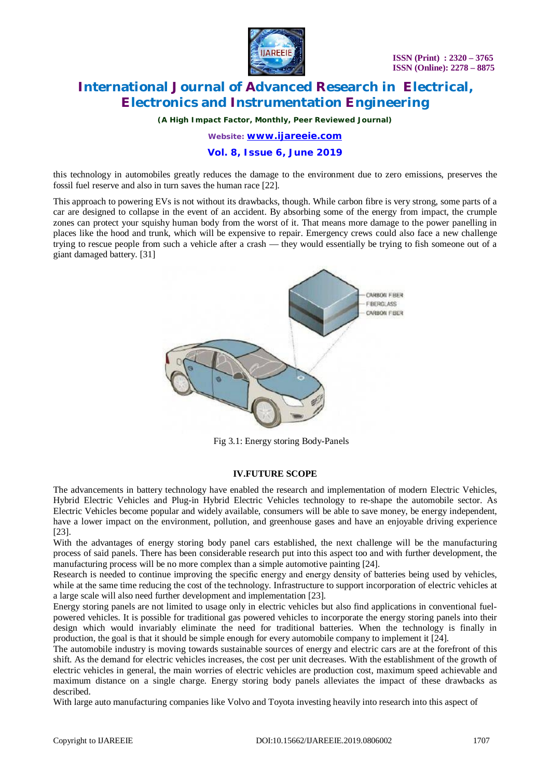

*(A High Impact Factor, Monthly, Peer Reviewed Journal)*

*Website: [www.ijareeie.com](http://www.ijareeie.com)*

### **Vol. 8, Issue 6, June 2019**

this technology in automobiles greatly reduces the damage to the environment due to zero emissions, preserves the fossil fuel reserve and also in turn saves the human race [22].

This approach to powering EVs is not without its drawbacks, though. While carbon fibre is very strong, some parts of a car are designed to collapse in the event of an accident. By absorbing some of the energy from impact, the crumple zones can protect your squishy human body from the worst of it. That means more damage to the power panelling in places like the hood and trunk, which will be expensive to repair. Emergency crews could also face a new challenge trying to rescue people from such a vehicle after a crash — they would essentially be trying to fish someone out of a giant damaged battery. [31]



Fig 3.1: Energy storing Body-Panels

#### **IV.FUTURE SCOPE**

The advancements in battery technology have enabled the research and implementation of modern Electric Vehicles, Hybrid Electric Vehicles and Plug-in Hybrid Electric Vehicles technology to re-shape the automobile sector. As Electric Vehicles become popular and widely available, consumers will be able to save money, be energy independent, have a lower impact on the environment, pollution, and greenhouse gases and have an enjoyable driving experience [23].

With the advantages of energy storing body panel cars established, the next challenge will be the manufacturing process of said panels. There has been considerable research put into this aspect too and with further development, the manufacturing process will be no more complex than a simple automotive painting [24].

Research is needed to continue improving the specific energy and energy density of batteries being used by vehicles, while at the same time reducing the cost of the technology. Infrastructure to support incorporation of electric vehicles at a large scale will also need further development and implementation [23].

Energy storing panels are not limited to usage only in electric vehicles but also find applications in conventional fuelpowered vehicles. It is possible for traditional gas powered vehicles to incorporate the energy storing panels into their design which would invariably eliminate the need for traditional batteries. When the technology is finally in production, the goal is that it should be simple enough for every automobile company to implement it [24].

The automobile industry is moving towards sustainable sources of energy and electric cars are at the forefront of this shift. As the demand for electric vehicles increases, the cost per unit decreases. With the establishment of the growth of electric vehicles in general, the main worries of electric vehicles are production cost, maximum speed achievable and maximum distance on a single charge. Energy storing body panels alleviates the impact of these drawbacks as described.

With large auto manufacturing companies like Volvo and Toyota investing heavily into research into this aspect of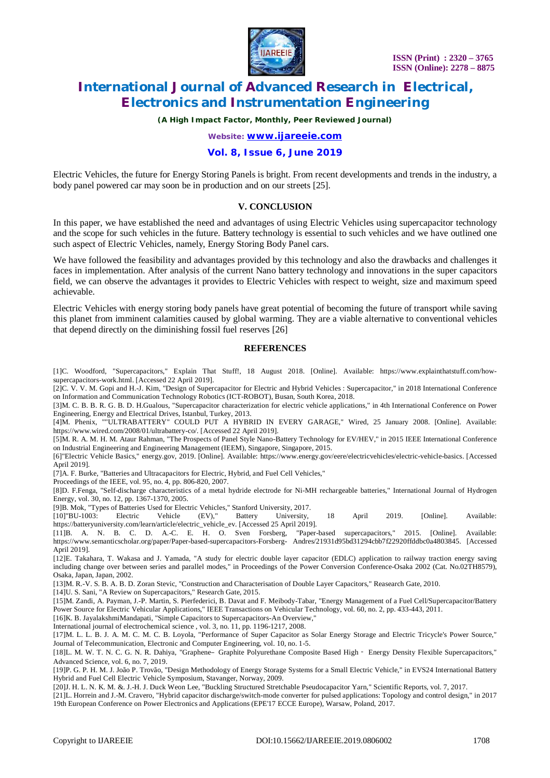

*(A High Impact Factor, Monthly, Peer Reviewed Journal)*

*Website: [www.ijareeie.com](http://www.ijareeie.com)*

#### **Vol. 8, Issue 6, June 2019**

Electric Vehicles, the future for Energy Storing Panels is bright. From recent developments and trends in the industry, a body panel powered car may soon be in production and on our streets [25].

#### **V. CONCLUSION**

In this paper, we have established the need and advantages of using Electric Vehicles using supercapacitor technology and the scope for such vehicles in the future. Battery technology is essential to such vehicles and we have outlined one such aspect of Electric Vehicles, namely, Energy Storing Body Panel cars.

We have followed the feasibility and advantages provided by this technology and also the drawbacks and challenges it faces in implementation. After analysis of the current Nano battery technology and innovations in the super capacitors field, we can observe the advantages it provides to Electric Vehicles with respect to weight, size and maximum speed achievable.

Electric Vehicles with energy storing body panels have great potential of becoming the future of transport while saving this planet from imminent calamities caused by global warming. They are a viable alternative to conventional vehicles that depend directly on the diminishing fossil fuel reserves [26]

### **REFERENCES**

[1]C. Woodford, "Supercapacitors," Explain That Stuff!, 18 August 2018. [Online]. Available: [https://www.explainthatstuff.com/how](https://www.explainthatstuff.com/how-)supercapacitors-work.html. [Accessed 22 April 2019].

[2]C. V. V. M. Gopi and H.-J. Kim, "Design of Supercapacitor for Electric and Hybrid Vehicles : Supercapacitor," in 2018 International Conference on Information and Communication Technology Robotics (ICT-ROBOT), Busan, South Korea, 2018.

[3]M. C. B. B. R. G. B. D. H.Gualous, "Supercapacitor characterization for electric vehicle applications," in 4th International Conference on Power Engineering, Energy and Electrical Drives, Istanbul, Turkey, 2013.

[4]M. Phenix, ""ULTRABATTERY" COULD PUT A HYBRID IN EVERY GARAGE," Wired, 25 January 2008. [Online]. Available: <https://www.wired.com/2008/01/ultrabattery-co/.> [Accessed 22 April 2019].

[5]M. R. A. M. H. M. Ataur Rahman, "The Prospects of Panel Style Nano-Battery Technology for EV/HEV," in 2015 IEEE International Conference on Industrial Engineering and Engineering Management (IEEM), Singapore, Singapore, 2015.

[6]"Electric Vehicle Basics," energy.gov, 2019. [Online]. Available: <https://www.energy.gov/eere/electricvehicles/electric-vehicle-basics.> [Accessed April 2019].

[7]A. F. Burke, "Batteries and Ultracapacitors for Electric, Hybrid, and Fuel Cell Vehicles,"

Proceedings of the IEEE, vol. 95, no. 4, pp. 806-820, 2007.

[8]D. F.Fenga, "Self-discharge characteristics of a metal hydride electrode for Ni-MH rechargeable batteries," International Journal of Hydrogen Energy, vol. 30, no. 12, pp. 1367-1370, 2005.

[9]B. Mok, "Types of Batteries Used for Electric Vehicles," Stanford University, 2017.

[10]"BU-1003: Electric Vehicle (EV)," Battery University, 18 April 2019. [Online]. Available: [https://batteryuniversity.com/learn/article/electric\\_vehicle\\_ev.](https://batteryuniversity.com/learn/article/electric_vehicle_ev.) [Accessed 25 April 2019].

[11]B. A. N. B. C. D. A.-C. E. H. O. Sven Forsberg, "Paper-based supercapacitors," 2015. [Online]. Available: <https://www.semanticscholar.org/paper/Paper-based-supercapacitors-Forsberg-> Andres/21931d95bd31294cbb7f22920ffddbc0a4803845. [Accessed April 2019].

[12]E. Takahara, T. Wakasa and J. Yamada, "A study for electric double layer capacitor (EDLC) application to railway traction energy saving including change over between series and parallel modes," in Proceedings of the Power Conversion Conference-Osaka 2002 (Cat. No.02TH8579), Osaka, Japan, Japan, 2002.

[13]M. R.-V. S. B. A. B. D. Zoran Stevic, "Construction and Characterisation of Double Layer Capacitors," Reasearch Gate, 2010.

[14]U. S. Sani, "A Review on Supercapacitors," Research Gate, 2015.

[15]M. Zandi, A. Payman, J.-P. Martin, S. Pierfederici, B. Davat and F. Meibody-Tabar, "Energy Management of a Fuel Cell/Supercapacitor/Battery Power Source for Electric Vehicular Applications," IEEE Transactions on Vehicular Technology, vol. 60, no. 2, pp. 433-443, 2011.

[16]K. B. JayalakshmiMandapati, "Simple Capacitors to Supercapacitors-An Overview,"

International journal of electrochemical science , vol. 3, no. 11, pp. 1196-1217, 2008.

[17]M. L. L. B. J. A. M. C. M. C. B. Loyola, "Performance of Super Capacitor as Solar Energy Storage and Electric Tricycle's Power Source," Journal of Telecommunication, Electronic and Computer Engineering, vol. 10, no. 1-5.

[18]L. M. W. T. N. C. G. N. R. Dahiya, "Graphene–Graphite Polyurethane Composite Based High‐ Energy Density Flexible Supercapacitors," Advanced Science, vol. 6, no. 7, 2019.

[19]P. G. P. H. M. J. João P. Trovão, "Design Methodology of Energy Storage Systems for a Small Electric Vehicle," in EVS24 International Battery Hybrid and Fuel Cell Electric Vehicle Symposium, Stavanger, Norway, 2009.

[20]J. H. L. N. K. M. &. J.-H. J. Duck Weon Lee, "Buckling Structured Stretchable Pseudocapacitor Yarn," Scientific Reports, vol. 7, 2017.

[21]L. Horrein and J.-M. Cravero, "Hybrid capacitor discharge/switch-mode converter for pulsed applications: Topology and control design," in 2017 19th European Conference on Power Electronics and Applications (EPE'17 ECCE Europe), Warsaw, Poland, 2017.